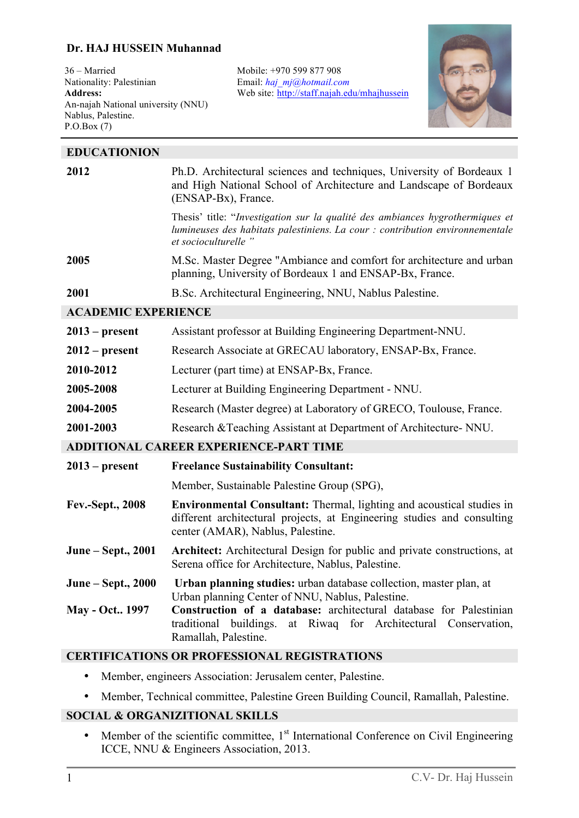## **Dr. HAJ HUSSEIN Muhannad**

36 – Married Nationality: Palestinian **Address:**  An-najah National university (NNU) Nablus, Palestine. P.O.Box (7)

j

Mobile: +970 599 877 908 Email: *haj\_mj@hotmail.com* Web site: http://staff.najah.edu/mhajhussein



| <b>EDUCATIONION</b>                           |                                                                                                                                                                                              |
|-----------------------------------------------|----------------------------------------------------------------------------------------------------------------------------------------------------------------------------------------------|
| 2012                                          | Ph.D. Architectural sciences and techniques, University of Bordeaux 1<br>and High National School of Architecture and Landscape of Bordeaux<br>(ENSAP-Bx), France.                           |
|                                               | Thesis' title: "Investigation sur la qualité des ambiances hygrothermiques et<br>lumineuses des habitats palestiniens. La cour : contribution environnementale<br>et socioculturelle "       |
| 2005                                          | M.Sc. Master Degree "Ambiance and comfort for architecture and urban<br>planning, University of Bordeaux 1 and ENSAP-Bx, France.                                                             |
| 2001                                          | B.Sc. Architectural Engineering, NNU, Nablus Palestine.                                                                                                                                      |
| <b>ACADEMIC EXPERIENCE</b>                    |                                                                                                                                                                                              |
| $2013$ – present                              | Assistant professor at Building Engineering Department-NNU.                                                                                                                                  |
| $2012$ – present                              | Research Associate at GRECAU laboratory, ENSAP-Bx, France.                                                                                                                                   |
| 2010-2012                                     | Lecturer (part time) at ENSAP-Bx, France.                                                                                                                                                    |
| 2005-2008                                     | Lecturer at Building Engineering Department - NNU.                                                                                                                                           |
| 2004-2005                                     | Research (Master degree) at Laboratory of GRECO, Toulouse, France.                                                                                                                           |
| 2001-2003                                     | Research & Teaching Assistant at Department of Architecture- NNU.                                                                                                                            |
| <b>ADDITIONAL CAREER EXPERIENCE-PART TIME</b> |                                                                                                                                                                                              |
| $2013$ – present                              | <b>Freelance Sustainability Consultant:</b>                                                                                                                                                  |
|                                               | Member, Sustainable Palestine Group (SPG),                                                                                                                                                   |
| Fev.-Sept., 2008                              | <b>Environmental Consultant:</b> Thermal, lighting and acoustical studies in<br>different architectural projects, at Engineering studies and consulting<br>center (AMAR), Nablus, Palestine. |
| June – Sept., 2001                            | Architect: Architectural Design for public and private constructions, at<br>Serena office for Architecture, Nablus, Palestine.                                                               |
| June – Sept., 2000                            | Urban planning studies: urban database collection, master plan, at<br>Urban planning Center of NNU, Nablus, Palestine.                                                                       |
| <b>May - Oct.</b> 1997                        | Construction of a database: architectural database for Palestinian<br>at Riwaq for Architectural Conservation,<br>traditional<br>buildings.<br>Ramallah, Palestine.                          |
| IS OR BROEDSCLOUVE BROKSEN LEIO               |                                                                                                                                                                                              |

#### **CERTIFICATIONS OR PROFESSIONAL REGISTRATIONS**

- Member, engineers Association: Jerusalem center, Palestine.
- Member, Technical committee, Palestine Green Building Council, Ramallah, Palestine.

## **SOCIAL & ORGANIZITIONAL SKILLS**

• Member of the scientific committee,  $1<sup>st</sup>$  International Conference on Civil Engineering ICCE, NNU & Engineers Association, 2013.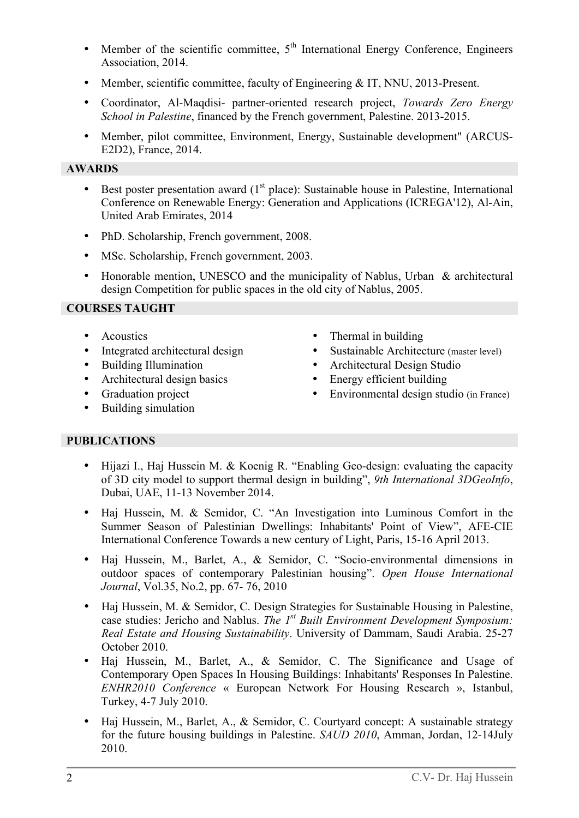- Member of the scientific committee,  $5<sup>th</sup>$  International Energy Conference, Engineers Association, 2014.
- Member, scientific committee, faculty of Engineering & IT, NNU, 2013-Present.
- Coordinator, Al-Maqdisi- partner-oriented research project, *Towards Zero Energy School in Palestine*, financed by the French government, Palestine. 2013-2015.
- Member, pilot committee, Environment, Energy, Sustainable development" (ARCUS-E2D2), France, 2014.

## **AWARDS**

- Best poster presentation award  $(1<sup>st</sup>$  place): Sustainable house in Palestine, International Conference on Renewable Energy: Generation and Applications (ICREGA'12), Al-Ain, United Arab Emirates, 2014
- PhD. Scholarship, French government, 2008.
- MSc. Scholarship, French government, 2003.
- Honorable mention, UNESCO and the municipality of Nablus, Urban & architectural design Competition for public spaces in the old city of Nablus, 2005.

## **COURSES TAUGHT**

- 
- 
- 
- Architectural design basics Energy efficient building
- 
- Building simulation
- Acoustics Thermal in building
- Integrated architectural design Sustainable Architecture (master level)
- Building Illumination Architectural Design Studio
	-
- Graduation project Environmental design studio (in France)

# **PUBLICATIONS**

- Hijazi I., Haj Hussein M. & Koenig R. "Enabling Geo-design: evaluating the capacity of 3D city model to support thermal design in building", *9th International 3DGeoInfo*, Dubai, UAE, 11-13 November 2014.
- Haj Hussein, M. & Semidor, C. "An Investigation into Luminous Comfort in the Summer Season of Palestinian Dwellings: Inhabitants' Point of View", AFE-CIE International Conference Towards a new century of Light, Paris, 15-16 April 2013.
- Haj Hussein, M., Barlet, A., & Semidor, C. "Socio-environmental dimensions in outdoor spaces of contemporary Palestinian housing". *Open House International Journal*, Vol.35, No.2, pp. 67- 76, 2010
- Haj Hussein, M. & Semidor, C. Design Strategies for Sustainable Housing in Palestine, case studies: Jericho and Nablus. *The 1st Built Environment Development Symposium: Real Estate and Housing Sustainability*. University of Dammam, Saudi Arabia. 25-27 October 2010.
- Haj Hussein, M., Barlet, A., & Semidor, C. The Significance and Usage of Contemporary Open Spaces In Housing Buildings: Inhabitants' Responses In Palestine. *ENHR2010 Conference* « European Network For Housing Research », Istanbul, Turkey, 4-7 July 2010.
- Haj Hussein, M., Barlet, A., & Semidor, C. Courtyard concept: A sustainable strategy for the future housing buildings in Palestine. *SAUD 2010*, Amman, Jordan, 12-14July 2010.